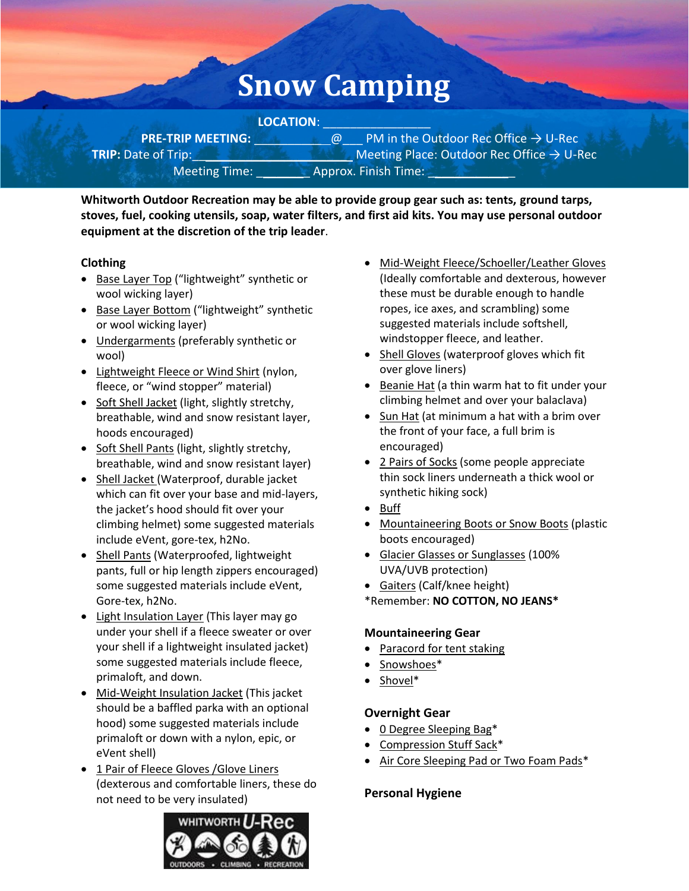# **Snow Camping**

**LOCATION**: \_\_\_\_\_\_\_\_\_\_\_\_\_\_\_\_ **PRE-TRIP MEETING:**  $@$  PM in the Outdoor Rec Office → U-Rec **TRIP:** Date of Trip:\_\_\_\_\_\_\_\_\_\_\_\_\_\_\_\_\_\_\_\_\_\_\_ Meeting Place: Outdoor Rec Office → U-Rec Meeting Time: **Approx. Finish Time:** 

**Whitworth Outdoor Recreation may be able to provide group gear such as: tents, ground tarps, stoves, fuel, cooking utensils, soap, water filters, and first aid kits. You may use personal outdoor equipment at the discretion of the trip leader**.

# **Clothing**

- Base Layer Top ("lightweight" synthetic or wool wicking layer)
- Base Layer Bottom ("lightweight" synthetic or wool wicking layer)
- Undergarments (preferably synthetic or wool)
- Lightweight Fleece or Wind Shirt (nylon, fleece, or "wind stopper" material)
- Soft Shell Jacket (light, slightly stretchy, breathable, wind and snow resistant layer, hoods encouraged)
- Soft Shell Pants (light, slightly stretchy, breathable, wind and snow resistant layer)
- Shell Jacket (Waterproof, durable jacket which can fit over your base and mid-layers, the jacket's hood should fit over your climbing helmet) some suggested materials include eVent, gore-tex, h2No.
- Shell Pants (Waterproofed, lightweight pants, full or hip length zippers encouraged) some suggested materials include eVent, Gore-tex, h2No.
- Light Insulation Layer (This layer may go under your shell if a fleece sweater or over your shell if a lightweight insulated jacket) some suggested materials include fleece, primaloft, and down.
- Mid-Weight Insulation Jacket (This jacket should be a baffled parka with an optional hood) some suggested materials include primaloft or down with a nylon, epic, or eVent shell)
- 1 Pair of Fleece Gloves /Glove Liners (dexterous and comfortable liners, these do not need to be very insulated)



- Mid-Weight Fleece/Schoeller/Leather Gloves (Ideally comfortable and dexterous, however these must be durable enough to handle ropes, ice axes, and scrambling) some suggested materials include softshell, windstopper fleece, and leather.
- Shell Gloves (waterproof gloves which fit over glove liners)
- Beanie Hat (a thin warm hat to fit under your climbing helmet and over your balaclava)
- Sun Hat (at minimum a hat with a brim over the front of your face, a full brim is encouraged)
- 2 Pairs of Socks (some people appreciate thin sock liners underneath a thick wool or synthetic hiking sock)
- Buff
- Mountaineering Boots or Snow Boots (plastic boots encouraged)
- Glacier Glasses or Sunglasses (100% UVA/UVB protection)
- Gaiters (Calf/knee height)
- \*Remember: **NO COTTON, NO JEANS\***

## **Mountaineering Gear**

- Paracord for tent staking
- Snowshoes\*
- Shovel\*

# **Overnight Gear**

- 0 Degree Sleeping Bag\*
- Compression Stuff Sack\*
- Air Core Sleeping Pad or Two Foam Pads\*

# **Personal Hygiene**